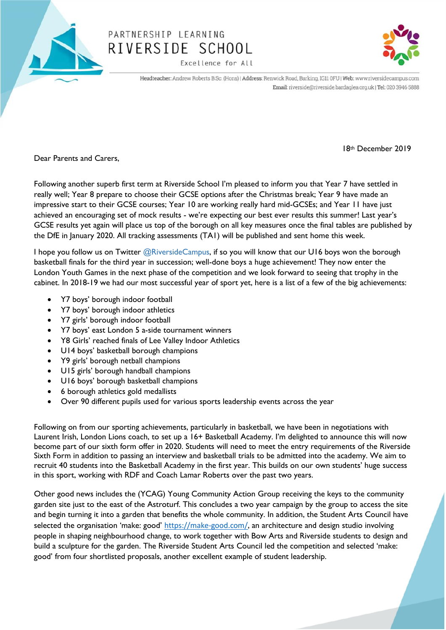

## PARTNERSHIP LEARNING RIVERSIDE SCHOOL

Excellence for All



Headteacher: Andrew Roberts B.Sc. (Hons) | Address: Renwick Road, Barking, IG11 0FU | Web: www.riversidecampus.com Email: riverside@riverside.bardaglea.org.uk | Tel: 020 3946 5888

Dear Parents and Carers,

Following another superb first term at Riverside School I'm pleased to inform you that Year 7 have settled in really well; Year 8 prepare to choose their GCSE options after the Christmas break; Year 9 have made an impressive start to their GCSE courses; Year 10 are working really hard mid-GCSEs; and Year 11 have just achieved an encouraging set of mock results - we're expecting our best ever results this summer! Last year's GCSE results yet again will place us top of the borough on all key measures once the final tables are published by the DfE in January 2020. All tracking assessments (TA1) will be published and sent home this week.

I hope you follow us on Twitter  $@RiversideCampus$ , if so you will know that our U16 boys won the borough basketball finals for the third year in succession; well-done boys a huge achievement! They now enter the London Youth Games in the next phase of the competition and we look forward to seeing that trophy in the cabinet. In 2018-19 we had our most successful year of sport yet, here is a list of a few of the big achievements:

- Y7 boys' borough indoor football
- Y7 boys' borough indoor athletics
- Y7 girls' borough indoor football
- Y7 boys' east London 5 a-side tournament winners
- Y8 Girls' reached finals of Lee Valley Indoor Athletics
- U14 boys' basketball borough champions
- Y9 girls' borough netball champions
- U15 girls' borough handball champions
- U16 boys' borough basketball champions
- 6 borough athletics gold medallists
- Over 90 different pupils used for various sports leadership events across the year

Following on from our sporting achievements, particularly in basketball, we have been in negotiations with Laurent Irish, London Lions coach, to set up a 16+ Basketball Academy. I'm delighted to announce this will now become part of our sixth form offer in 2020. Students will need to meet the entry requirements of the Riverside Sixth Form in addition to passing an interview and basketball trials to be admitted into the academy. We aim to recruit 40 students into the Basketball Academy in the first year. This builds on our own students' huge success in this sport, working with RDF and Coach Lamar Roberts over the past two years.

Other good news includes the (YCAG) Young Community Action Group receiving the keys to the community garden site just to the east of the Astroturf. This concludes a two year campaign by the group to access the site and begin turning it into a garden that benefits the whole community. In addition, the Student Arts Council have selected the organisation 'make: good' <https://make-good.com/>, an architecture and design studio involving people in shaping neighbourhood change, to work together with Bow Arts and Riverside students to design and build a sculpture for the garden. The Riverside Student Arts Council led the competition and selected 'make: good' from four shortlisted proposals, another excellent example of student leadership.

18th December 2019